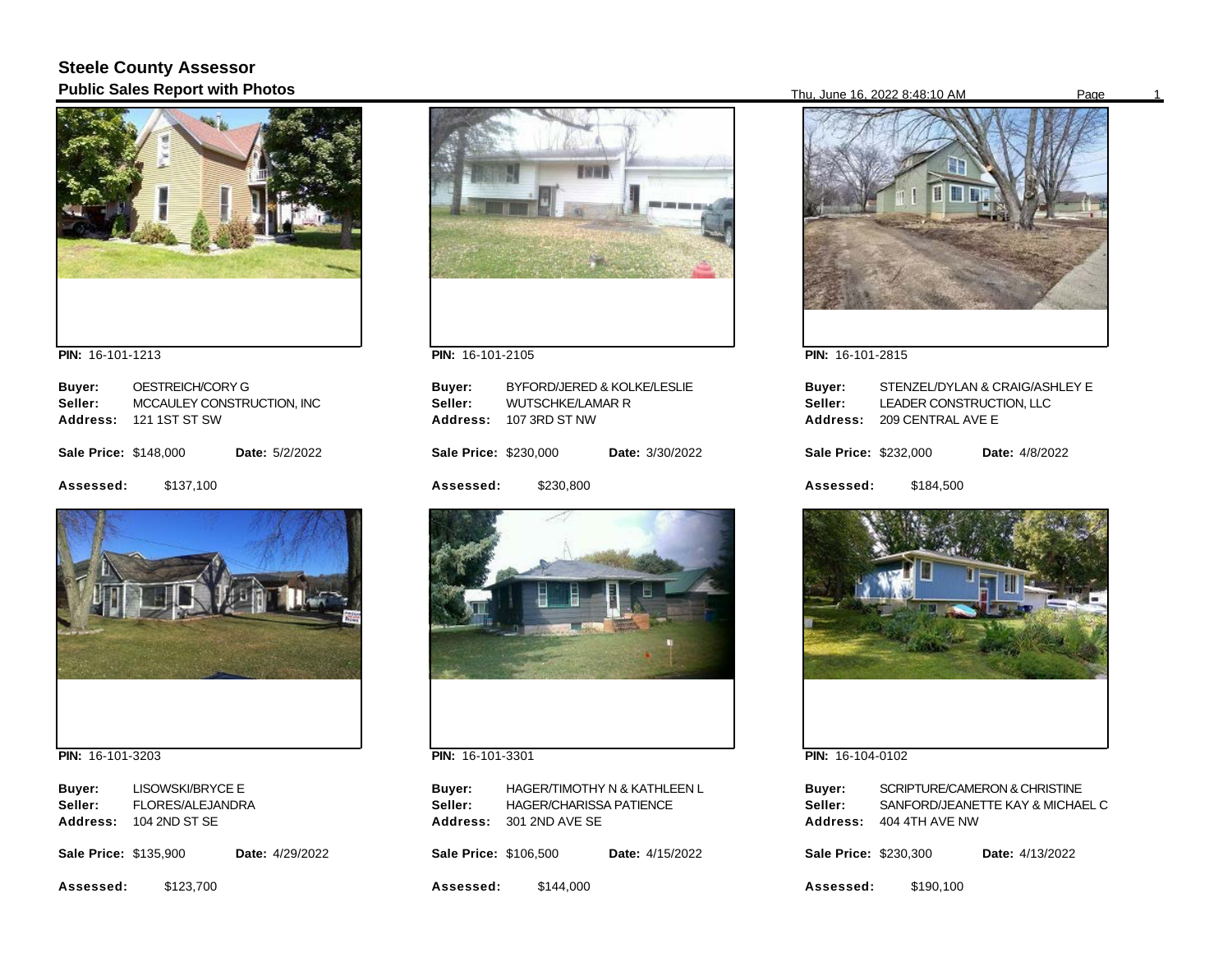## **Steele County Assessor Public Sales Report with Photos** Page 16, 2022 8:48:10 AM Page 16, 2022 8:48:10 AM Page



**PIN:**  16-101-1213

| Buyer:                       | OESTREICH/CORY G           |                       |
|------------------------------|----------------------------|-----------------------|
| Seller:                      | MCCAULEY CONSTRUCTION, INC |                       |
| <b>Address:</b>              | 121 1ST ST SW              |                       |
| <b>Sale Price: \$148,000</b> |                            | <b>Date: 5/2/2022</b> |
| Assessed:                    | \$137,100                  |                       |



**PIN:**  16-101-3203

**Buyer: Address:**  104 2ND ST SE LISOWSKI/BRYCE E **Seller:** FLORES/ALEJANDRA

**Sale Price: \$135,900** Date: 4/29/2022

**Assessed:**  \$123,700



**PIN:**  16-101-2105

| Buyer:<br>Seller:<br>Address: | <b>WUTSCHKE/LAMAR R</b><br>107 3RD ST NW | BYFORD/JERED & KOLKE/LESLIE |
|-------------------------------|------------------------------------------|-----------------------------|
| <b>Sale Price: \$230,000</b>  |                                          | <b>Date: 3/30/2022</b>      |
| Assessed:                     | \$230.800                                |                             |
|                               |                                          |                             |



**PIN:**  16-101-3301

**Buyer: Address:**  301 2ND AVE SE HAGER/TIMOTHY N & KATHLEEN L **Seller:** HAGER/CHARISSA PATIENCE

**Sale Price: \$106,500** Date: 4/15/2022

**Assessed:**  \$144,000



**PIN:**  16-101-2815

| Buyer:<br>Seller:<br>Address: | LEADER CONSTRUCTION. LLC<br>209 CENTRAL AVE E | STENZEL/DYLAN & CRAIG/ASHLEY E |
|-------------------------------|-----------------------------------------------|--------------------------------|
| Sale Price: \$232,000         |                                               | <b>Date:</b> 4/8/2022          |
| Assessed:                     | \$184,500                                     |                                |



**PIN:**  16-104-0102

| Buyer:   | SCRIPTURE/CAMERON & CHRISTINE    |
|----------|----------------------------------|
| Seller:  | SANFORD/JEANETTE KAY & MICHAEL C |
| Address: | 404 4TH AVE NW                   |
|          |                                  |

**Sale Price: \$230,300** Date: 4/13/2022

**Assessed:**  \$190,100